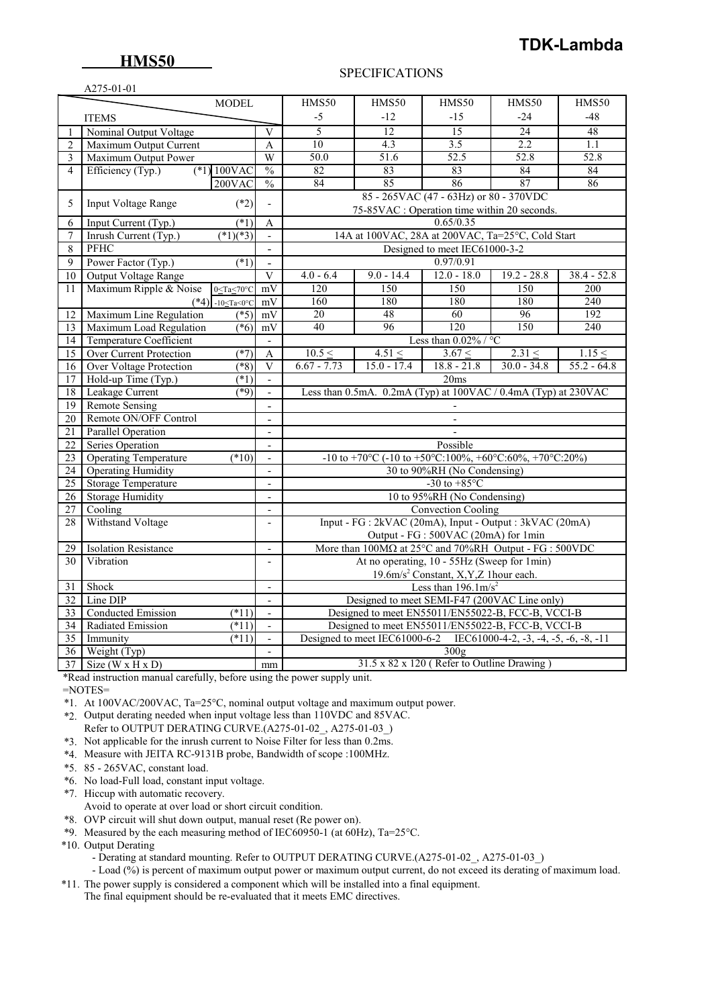# **TDK-Lambda**

### SPECIFICATIONS

|                 | A275-01-01                                                                                                  |                          |                                                                             |                                                          |                                                                     |                 |               |  |  |
|-----------------|-------------------------------------------------------------------------------------------------------------|--------------------------|-----------------------------------------------------------------------------|----------------------------------------------------------|---------------------------------------------------------------------|-----------------|---------------|--|--|
|                 | <b>MODEL</b>                                                                                                |                          | HMS50                                                                       | HMS50                                                    | HMS50                                                               | HMS50           | <b>HMS50</b>  |  |  |
|                 | <b>ITEMS</b>                                                                                                |                          | $-5$                                                                        | $-12$                                                    | $-15$                                                               | $-24$           | -48           |  |  |
|                 | Nominal Output Voltage                                                                                      | V                        | 5                                                                           | 12                                                       | 15                                                                  | $\overline{24}$ | 48            |  |  |
| $\overline{2}$  | Maximum Output Current                                                                                      | A                        | 10                                                                          | 4.3                                                      | 3.5                                                                 | 2.2             | 1.1           |  |  |
| 3               | Maximum Output Power                                                                                        | W                        | 50.0                                                                        | 51.6                                                     | 52.5                                                                | 52.8            | 52.8          |  |  |
| $\overline{4}$  | $(*1) 100$ VAC<br>Efficiency (Typ.)                                                                         | $\frac{0}{0}$            | 82                                                                          | 83                                                       | 83                                                                  | 84              | 84            |  |  |
|                 | 200VAC                                                                                                      | $\frac{0}{6}$            | 84                                                                          | 85                                                       | 86                                                                  | 87              | 86            |  |  |
|                 |                                                                                                             |                          |                                                                             |                                                          | 85 - 265VAC (47 - 63Hz) or 80 - 370VDC                              |                 |               |  |  |
| 5               | $(*2)$<br>Input Voltage Range                                                                               | $\overline{a}$           |                                                                             |                                                          | 75-85VAC : Operation time within 20 seconds.                        |                 |               |  |  |
| 6               | $(*1)$<br>Input Current (Typ.)                                                                              | A                        |                                                                             |                                                          | 0.65/0.35                                                           |                 |               |  |  |
| 7               | $\sqrt{(*1)(*3)}$<br>Inrush Current (Typ.)                                                                  | $\mathbb{Z}^2$           |                                                                             |                                                          | 14A at 100VAC, 28A at 200VAC, Ta=25°C, Cold Start                   |                 |               |  |  |
| 8               | <b>PFHC</b>                                                                                                 | $\blacksquare$           |                                                                             |                                                          | Designed to meet IEC61000-3-2                                       |                 |               |  |  |
| 9               | Power Factor (Typ.)<br>(1)                                                                                  | $\overline{a}$           |                                                                             |                                                          | 0.97/0.91                                                           |                 |               |  |  |
| 10              | Output Voltage Range                                                                                        | $\mathbf{V}$             | $4.0 - 6.4$                                                                 | $9.0 - 14.4$                                             | $12.0 - 18.0$                                                       | $19.2 - 28.8$   | $38.4 - 52.8$ |  |  |
| 11              | Maximum Ripple & Noise<br>$0 < Ta < 70^{\circ}C$                                                            | mV                       | 120                                                                         | 150                                                      | 150                                                                 | 150             | 200           |  |  |
|                 | $(*4)$ -10 <ta<0°c< td=""><td>mV</td><td>160</td><td>180</td><td>180</td><td>180</td><td>240</td></ta<0°c<> | mV                       | 160                                                                         | 180                                                      | 180                                                                 | 180             | 240           |  |  |
| 12              | Maximum Line Regulation<br>$(*5)$                                                                           | mV                       | 20                                                                          | 48                                                       | 60                                                                  | 96              | 192           |  |  |
| 13              | Maximum Load Regulation<br>$(*6)$                                                                           | mV                       | 40                                                                          | 96                                                       | 120                                                                 | 150             | 240           |  |  |
| 14              | <b>Temperature Coefficient</b>                                                                              | $\sim$                   | Less than $0.02\%$ / °C                                                     |                                                          |                                                                     |                 |               |  |  |
| 15              | <b>Over Current Protection</b><br>$(*7)$                                                                    | A                        | 10.5 <                                                                      | 4.51 <                                                   | 3.67 <                                                              | 2.31 <          | 1.15 <        |  |  |
| 16              | Over Voltage Protection<br>$(*8)$                                                                           | V                        | $6.67 - 7.73$                                                               | $15.0 - 17.4$                                            | $18.8 - 21.8$                                                       | $30.0 - 34.8$   | $55.2 - 64.8$ |  |  |
| 17              | Hold-up Time (Typ.)<br>$(*1)$                                                                               | $\mathbf{r}$             |                                                                             |                                                          | 20ms                                                                |                 |               |  |  |
| 18              | Leakage Current<br>$(*9)$                                                                                   | $\mathbf{r}$             | Less than 0.5mA. 0.2mA (Typ) at 100VAC / 0.4mA (Typ) at 230VAC              |                                                          |                                                                     |                 |               |  |  |
| 19              | <b>Remote Sensing</b>                                                                                       | $\blacksquare$           |                                                                             |                                                          |                                                                     |                 |               |  |  |
| 20              | Remote ON/OFF Control                                                                                       |                          |                                                                             | $\overline{a}$                                           |                                                                     |                 |               |  |  |
| 21              | Parallel Operation                                                                                          | $\mathbf{r}$             |                                                                             |                                                          |                                                                     |                 |               |  |  |
| $\overline{22}$ | <b>Series Operation</b>                                                                                     | $\overline{a}$           |                                                                             | Possible                                                 |                                                                     |                 |               |  |  |
| 23              | <b>Operating Temperature</b><br>$(*10)$                                                                     |                          |                                                                             | -10 to +70°C (-10 to +50°C:100%, +60°C:60%, +70°C:20%)   |                                                                     |                 |               |  |  |
| $\overline{24}$ | <b>Operating Humidity</b>                                                                                   | $\overline{\phantom{a}}$ |                                                                             | 30 to 90%RH (No Condensing)                              |                                                                     |                 |               |  |  |
| $\overline{25}$ | Storage Temperature                                                                                         | $\overline{a}$           |                                                                             | -30 to $+85^{\circ}$ C                                   |                                                                     |                 |               |  |  |
| 26              | <b>Storage Humidity</b>                                                                                     | $\blacksquare$           |                                                                             | 10 to 95%RH (No Condensing)                              |                                                                     |                 |               |  |  |
| 27              | Cooling                                                                                                     | $\blacksquare$           |                                                                             |                                                          | <b>Convection Cooling</b>                                           |                 |               |  |  |
| 28              | Withstand Voltage                                                                                           | $\blacksquare$           |                                                                             | Input - FG : 2kVAC (20mA), Input - Output : 3kVAC (20mA) |                                                                     |                 |               |  |  |
|                 |                                                                                                             |                          | Output - FG : 500VAC (20mA) for 1min                                        |                                                          |                                                                     |                 |               |  |  |
| 29              | <b>Isolation Resistance</b>                                                                                 | $\overline{\phantom{a}}$ | More than $100M\Omega$ at $25^{\circ}$ C and $70\%$ RH Output - FG : 500VDC |                                                          |                                                                     |                 |               |  |  |
| 30              | Vibration                                                                                                   |                          | At no operating, 10 - 55Hz (Sweep for 1min)                                 |                                                          |                                                                     |                 |               |  |  |
|                 |                                                                                                             |                          | 19.6m/s <sup>2</sup> Constant, X, Y, Z 1hour each.                          |                                                          |                                                                     |                 |               |  |  |
| 31              | Shock                                                                                                       | $\overline{a}$           |                                                                             |                                                          | Less than $196.1 \text{m/s}^2$                                      |                 |               |  |  |
| 32              | Line DIP                                                                                                    |                          |                                                                             |                                                          | Designed to meet SEMI-F47 (200VAC Line only)                        |                 |               |  |  |
| 33              | <b>Conducted Emission</b><br>$(*11)$                                                                        | $\mathbb{L}^2$           |                                                                             |                                                          | Designed to meet EN55011/EN55022-B, FCC-B, VCCI-B                   |                 |               |  |  |
| 34              | Radiated Emission<br>$(*11)$                                                                                | $\sim$                   |                                                                             |                                                          | Designed to meet EN55011/EN55022-B, FCC-B, VCCI-B                   |                 |               |  |  |
| 35              | $\overline{(\overline{11})}$<br>Immunity                                                                    | ÷,                       |                                                                             |                                                          | Designed to meet IEC61000-6-2 IEC61000-4-2, -3, -4, -5, -6, -8, -11 |                 |               |  |  |
| 36              | Weight (Typ)                                                                                                | $\mathbf{r}$             |                                                                             |                                                          | 300g                                                                |                 |               |  |  |
| $\overline{37}$ | Size ( $W \times H \times D$ )                                                                              | mm                       |                                                                             | 31.5 x 82 x 120 (Refer to Outline Drawing)               |                                                                     |                 |               |  |  |

\*Read instruction manual carefully, before using the power supply unit.

=NOTES=

\*1. At 100VAC/200VAC, Ta=25°C, nominal output voltage and maximum output power.

- \*2. Output derating needed when input voltage less than 110VDC and 85VAC. Refer to OUTPUT DERATING CURVE.(A275-01-02\_, A275-01-03\_)
- \*3. Not applicable for the inrush current to Noise Filter for less than 0.2ms.
- \*4. Measure with JEITA RC-9131B probe, Bandwidth of scope :100MHz.
- \*5. 85 265VAC, constant load.
- \*6. No load-Full load, constant input voltage.
- \*7. Hiccup with automatic recovery.
- Avoid to operate at over load or short circuit condition.
- \*8. OVP circuit will shut down output, manual reset (Re power on).
- \*9. Measured by the each measuring method of IEC60950-1 (at 60Hz), Ta=25°C.

\*10. Output Derating

- Derating at standard mounting. Refer to OUTPUT DERATING CURVE.(A275-01-02\_, A275-01-03\_)
- Load (%) is percent of maximum output power or maximum output current, do not exceed its derating of maximum load.
- \*11. The power supply is considered a component which will be installed into a final equipment.

The final equipment should be re-evaluated that it meets EMC directives.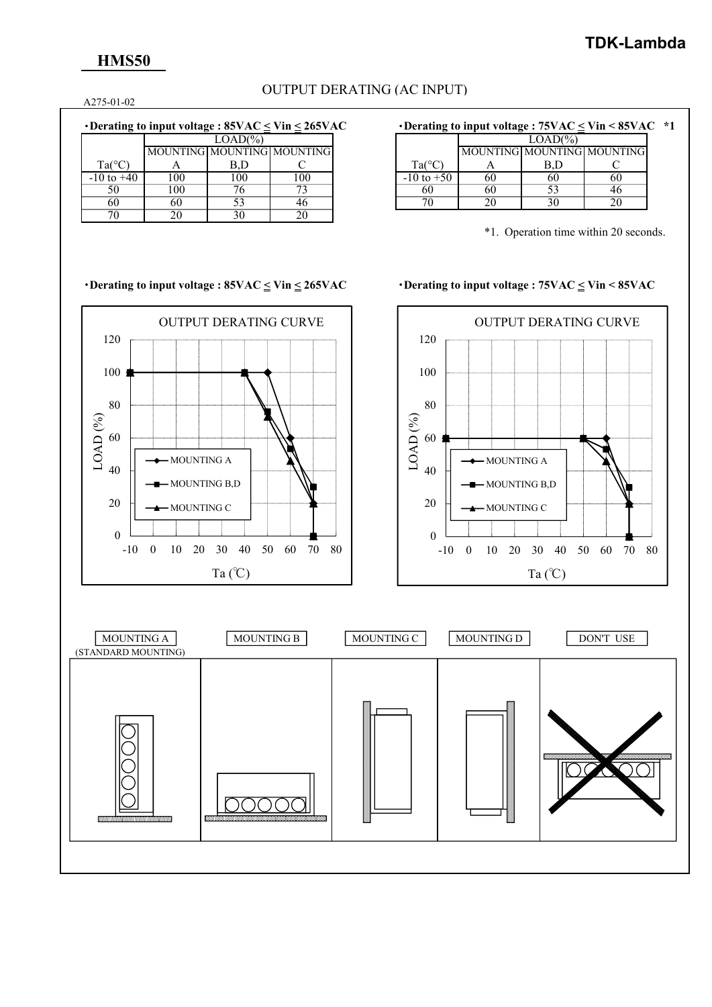## **HMS50**

## OUTPUT DERATING (AC INPUT)

A275-01-02

|                 |                            | $LOAD(\% )$ |     |    |
|-----------------|----------------------------|-------------|-----|----|
|                 | MOUNTING MOUNTING MOUNTING |             |     |    |
| $Ta(^{\circ}C)$ |                            |             |     | Ta |
| $-10$ to $+40$  | l 00                       | 100         | -00 |    |
| 50              | 00                         |             |     | 60 |
| 60              | 60                         |             | 46  |    |
|                 |                            |             |     |    |

## ・**Derating to input voltage : 85VAC < Vin < 265VAC** ・**Derating to input voltage : 75VAC < Vin < 85VAC \*1**

|                           | $LOAD(\%)$ |                            |  |  |  |
|---------------------------|------------|----------------------------|--|--|--|
|                           |            | MOUNTING MOUNTING MOUNTING |  |  |  |
| $Ta(^{\circ}C)$           |            |                            |  |  |  |
| $-10$ to $+\overline{50}$ | 60         |                            |  |  |  |
|                           | 50         | 53                         |  |  |  |
|                           |            |                            |  |  |  |

\*1. Operation time within 20 seconds.

### ・**Derating to input voltage : 85VAC < Vin < 265VAC** ・**Derating to input voltage : 75VAC < Vin < 85VAC**